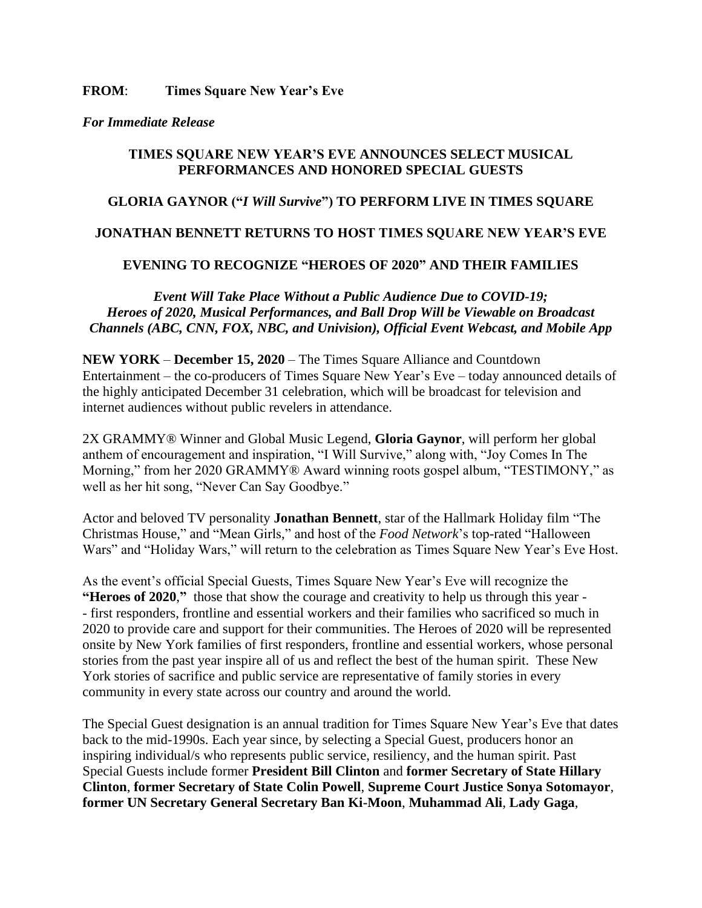#### **FROM**: **Times Square New Year's Eve**

#### *For Immediate Release*

## **TIMES SQUARE NEW YEAR'S EVE ANNOUNCES SELECT MUSICAL PERFORMANCES AND HONORED SPECIAL GUESTS**

# **GLORIA GAYNOR ("***I Will Survive***") TO PERFORM LIVE IN TIMES SQUARE**

## **JONATHAN BENNETT RETURNS TO HOST TIMES SQUARE NEW YEAR'S EVE**

# **EVENING TO RECOGNIZE "HEROES OF 2020" AND THEIR FAMILIES**

*Event Will Take Place Without a Public Audience Due to COVID-19; Heroes of 2020, Musical Performances, and Ball Drop Will be Viewable on Broadcast Channels (ABC, CNN, FOX, NBC, and Univision), Official Event Webcast, and Mobile App*

**NEW YORK** – **December 15, 2020** – The Times Square Alliance and Countdown Entertainment – the co-producers of Times Square New Year's Eve – today announced details of the highly anticipated December 31 celebration, which will be broadcast for television and internet audiences without public revelers in attendance.

2X GRAMMY® Winner and Global Music Legend, **Gloria Gaynor**, will perform her global anthem of encouragement and inspiration, "I Will Survive," along with, "Joy Comes In The Morning," from her 2020 GRAMMY® Award winning roots gospel album, "TESTIMONY," as well as her hit song, "Never Can Say Goodbye."

Actor and beloved TV personality **Jonathan Bennett**, star of the Hallmark Holiday film "The Christmas House," and "Mean Girls," and host of the *Food Network*'s top-rated "Halloween Wars" and "Holiday Wars," will return to the celebration as Times Square New Year's Eve Host.

As the event's official Special Guests, Times Square New Year's Eve will recognize the **"Heroes of 2020**,**"** those that show the courage and creativity to help us through this year - - first responders, frontline and essential workers and their families who sacrificed so much in 2020 to provide care and support for their communities. The Heroes of 2020 will be represented onsite by New York families of first responders, frontline and essential workers, whose personal stories from the past year inspire all of us and reflect the best of the human spirit. These New York stories of sacrifice and public service are representative of family stories in every community in every state across our country and around the world.

The Special Guest designation is an annual tradition for Times Square New Year's Eve that dates back to the mid-1990s. Each year since, by selecting a Special Guest, producers honor an inspiring individual/s who represents public service, resiliency, and the human spirit. Past Special Guests include former **President Bill Clinton** and **former Secretary of State Hillary Clinton**, **former Secretary of State Colin Powell**, **Supreme Court Justice Sonya Sotomayor**, **former UN Secretary General Secretary Ban Ki-Moon**, **Muhammad Ali**, **Lady Gaga**,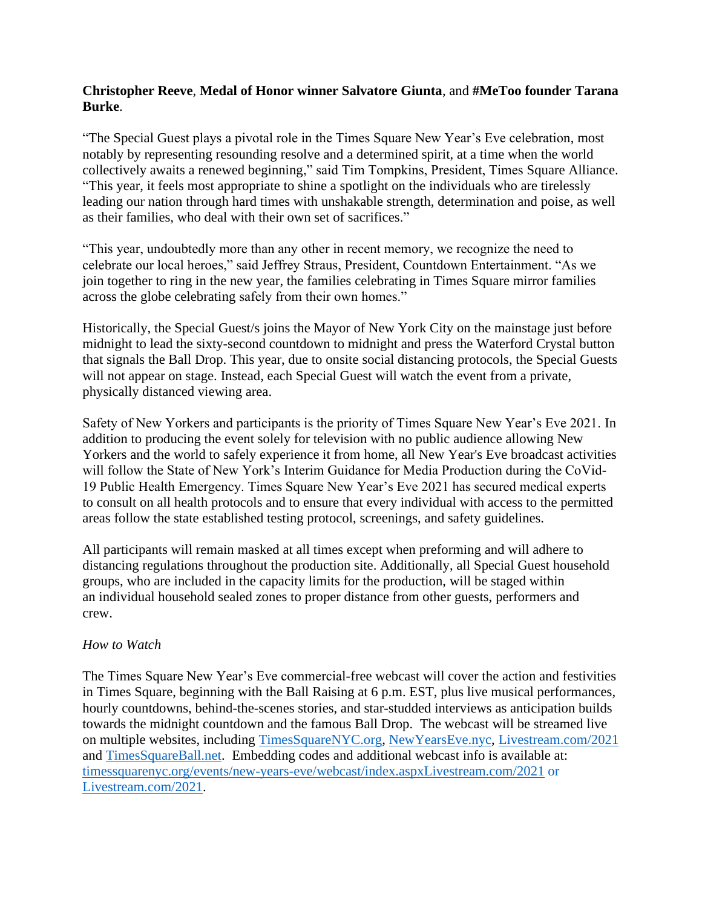# **Christopher Reeve**, **Medal of Honor winner Salvatore Giunta**, and **#MeToo founder Tarana Burke**.

"The Special Guest plays a pivotal role in the Times Square New Year's Eve celebration, most notably by representing resounding resolve and a determined spirit, at a time when the world collectively awaits a renewed beginning," said Tim Tompkins, President, Times Square Alliance. "This year, it feels most appropriate to shine a spotlight on the individuals who are tirelessly leading our nation through hard times with unshakable strength, determination and poise, as well as their families, who deal with their own set of sacrifices."

"This year, undoubtedly more than any other in recent memory, we recognize the need to celebrate our local heroes," said Jeffrey Straus, President, Countdown Entertainment. "As we join together to ring in the new year, the families celebrating in Times Square mirror families across the globe celebrating safely from their own homes."

Historically, the Special Guest/s joins the Mayor of New York City on the mainstage just before midnight to lead the sixty-second countdown to midnight and press the Waterford Crystal button that signals the Ball Drop. This year, due to onsite social distancing protocols, the Special Guests will not appear on stage. Instead, each Special Guest will watch the event from a private, physically distanced viewing area.

Safety of New Yorkers and participants is the priority of Times Square New Year's Eve 2021. In addition to producing the event solely for television with no public audience allowing New Yorkers and the world to safely experience it from home, all New Year's Eve broadcast activities will follow the State of New York's Interim Guidance for Media Production during the CoVid-19 Public Health Emergency. Times Square New Year's Eve 2021 has secured medical experts to consult on all health protocols and to ensure that every individual with access to the permitted areas follow the state established testing protocol, screenings, and safety guidelines.

All participants will remain masked at all times except when preforming and will adhere to distancing regulations throughout the production site. Additionally, all Special Guest household groups, who are included in the capacity limits for the production, will be staged within an individual household sealed zones to proper distance from other guests, performers and crew.

## *How to Watch*

The Times Square New Year's Eve commercial-free webcast will cover the action and festivities in Times Square, beginning with the Ball Raising at 6 p.m. EST, plus live musical performances, hourly countdowns, behind-the-scenes stories, and star-studded interviews as anticipation builds towards the midnight countdown and the famous Ball Drop. The webcast will be streamed live on multiple websites, including [TimesSquareNYC.org,](http://timessquarenyc.org/) [NewYearsEve.nyc,](http://newyearseve.nyc/) [Livestream.com/2021](https://livestream.com/newyearseve/nye2020) and [TimesSquareBall.net.](https://timessquareball.net/) Embedding codes and additional webcast info is available at: timessquarenyc.org/events/new-years-eve/webcast/index.aspxLivestream.com/2021 or [Livestream.com/2021.](https://livestream.com/newyearseve/nye2020)